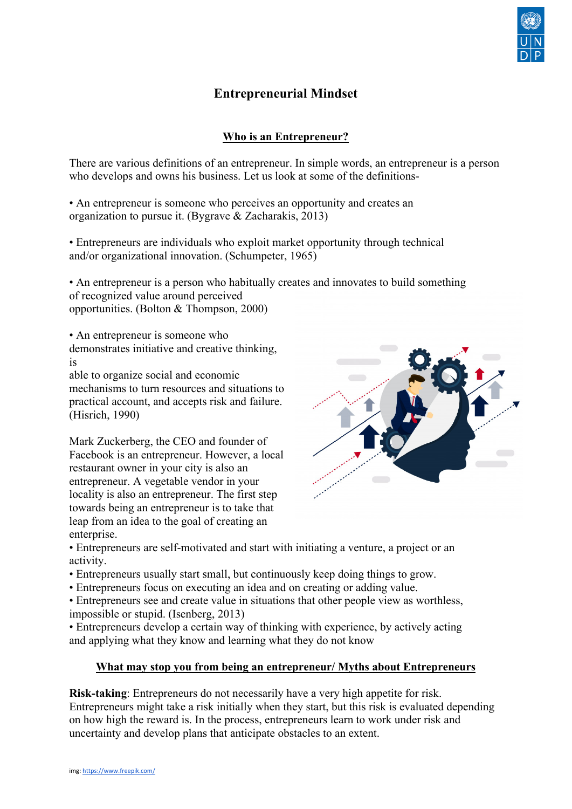

# **Entrepreneurial Mindset**

## **Who is an Entrepreneur?**

There are various definitions of an entrepreneur. In simple words, an entrepreneur is a person who develops and owns his business. Let us look at some of the definitions-

• An entrepreneur is someone who perceives an opportunity and creates an organization to pursue it. (Bygrave & Zacharakis, 2013)

• Entrepreneurs are individuals who exploit market opportunity through technical and/or organizational innovation. (Schumpeter, 1965)

• An entrepreneur is a person who habitually creates and innovates to build something of recognized value around perceived opportunities. (Bolton & Thompson, 2000)

• An entrepreneur is someone who

demonstrates initiative and creative thinking, is

able to organize social and economic mechanisms to turn resources and situations to practical account, and accepts risk and failure. (Hisrich, 1990)

Mark Zuckerberg, the CEO and founder of Facebook is an entrepreneur. However, a local restaurant owner in your city is also an entrepreneur. A vegetable vendor in your locality is also an entrepreneur. The first step towards being an entrepreneur is to take that leap from an idea to the goal of creating an enterprise.



• Entrepreneurs are self-motivated and start with initiating a venture, a project or an activity.

- Entrepreneurs usually start small, but continuously keep doing things to grow.
- Entrepreneurs focus on executing an idea and on creating or adding value.

• Entrepreneurs see and create value in situations that other people view as worthless, impossible or stupid. (Isenberg, 2013)

• Entrepreneurs develop a certain way of thinking with experience, by actively acting and applying what they know and learning what they do not know

#### **What may stop you from being an entrepreneur/ Myths about Entrepreneurs**

**Risk-taking**: Entrepreneurs do not necessarily have a very high appetite for risk. Entrepreneurs might take a risk initially when they start, but this risk is evaluated depending on how high the reward is. In the process, entrepreneurs learn to work under risk and uncertainty and develop plans that anticipate obstacles to an extent.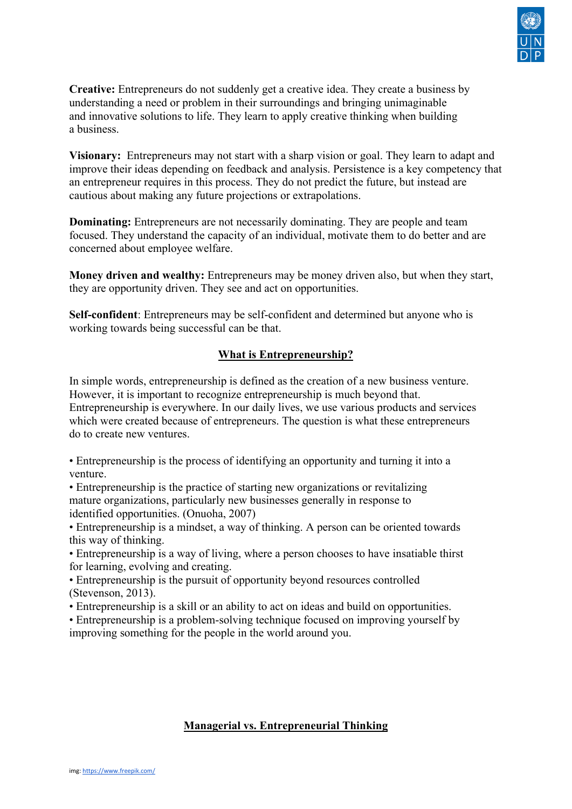

**Creative:** Entrepreneurs do not suddenly get a creative idea. They create a business by understanding a need or problem in their surroundings and bringing unimaginable and innovative solutions to life. They learn to apply creative thinking when building a business.

**Visionary:** Entrepreneurs may not start with a sharp vision or goal. They learn to adapt and improve their ideas depending on feedback and analysis. Persistence is a key competency that an entrepreneur requires in this process. They do not predict the future, but instead are cautious about making any future projections or extrapolations.

**Dominating:** Entrepreneurs are not necessarily dominating. They are people and team focused. They understand the capacity of an individual, motivate them to do better and are concerned about employee welfare.

**Money driven and wealthy:** Entrepreneurs may be money driven also, but when they start, they are opportunity driven. They see and act on opportunities.

**Self-confident**: Entrepreneurs may be self-confident and determined but anyone who is working towards being successful can be that.

## **What is Entrepreneurship?**

In simple words, entrepreneurship is defined as the creation of a new business venture. However, it is important to recognize entrepreneurship is much beyond that. Entrepreneurship is everywhere. In our daily lives, we use various products and services which were created because of entrepreneurs. The question is what these entrepreneurs do to create new ventures.

• Entrepreneurship is the process of identifying an opportunity and turning it into a venture.

• Entrepreneurship is the practice of starting new organizations or revitalizing mature organizations, particularly new businesses generally in response to identified opportunities. (Onuoha, 2007)

• Entrepreneurship is a mindset, a way of thinking. A person can be oriented towards this way of thinking.

• Entrepreneurship is a way of living, where a person chooses to have insatiable thirst for learning, evolving and creating.

• Entrepreneurship is the pursuit of opportunity beyond resources controlled (Stevenson, 2013).

• Entrepreneurship is a skill or an ability to act on ideas and build on opportunities.

• Entrepreneurship is a problem-solving technique focused on improving yourself by improving something for the people in the world around you.

## **Managerial vs. Entrepreneurial Thinking**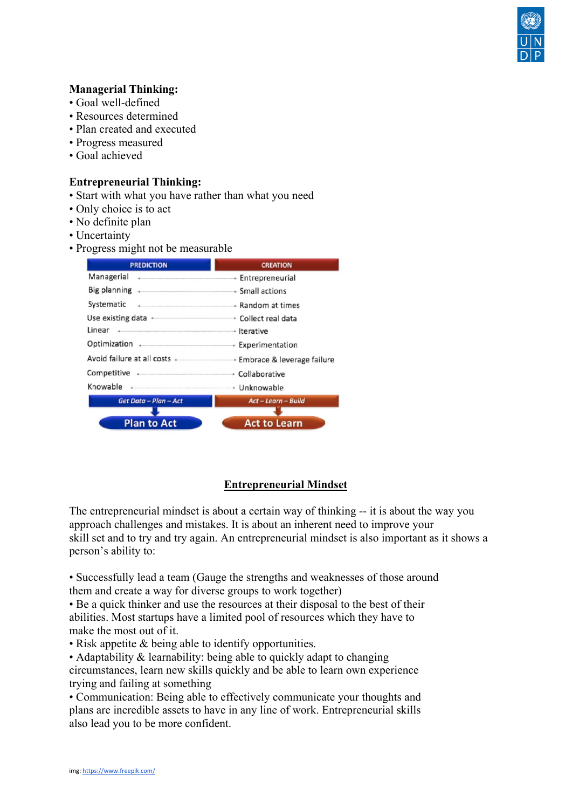

#### **Managerial Thinking:**

- Goal well-defined
- Resources determined
- Plan created and executed
- Progress measured
- Goal achieved

#### **Entrepreneurial Thinking:**

- Start with what you have rather than what you need
- Only choice is to act
- No definite plan
- Uncertainty
- Progress might not be measurable



## **Entrepreneurial Mindset**

The entrepreneurial mindset is about a certain way of thinking -- it is about the way you approach challenges and mistakes. It is about an inherent need to improve your skill set and to try and try again. An entrepreneurial mindset is also important as it shows a person's ability to:

• Successfully lead a team (Gauge the strengths and weaknesses of those around them and create a way for diverse groups to work together)

• Be a quick thinker and use the resources at their disposal to the best of their abilities. Most startups have a limited pool of resources which they have to make the most out of it.

• Risk appetite & being able to identify opportunities.

• Adaptability & learnability: being able to quickly adapt to changing

circumstances, learn new skills quickly and be able to learn own experience trying and failing at something

• Communication: Being able to effectively communicate your thoughts and plans are incredible assets to have in any line of work. Entrepreneurial skills also lead you to be more confident.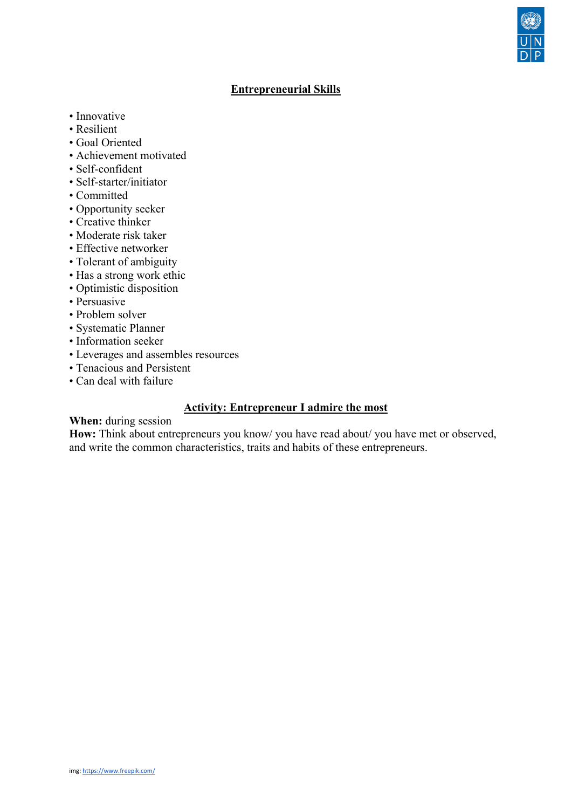## **Entrepreneurial Skills**

- Innovative
- Resilient
- Goal Oriented
- Achievement motivated
- Self-confident
- Self-starter/initiator
- Committed
- Opportunity seeker
- Creative thinker
- Moderate risk taker
- Effective networker
- Tolerant of ambiguity
- Has a strong work ethic
- Optimistic disposition
- Persuasive
- Problem solver
- Systematic Planner
- Information seeker
- Leverages and assembles resources
- Tenacious and Persistent
- Can deal with failure

## **Activity: Entrepreneur I admire the most**

#### **When:** during session

**How:** Think about entrepreneurs you know/ you have read about/ you have met or observed, and write the common characteristics, traits and habits of these entrepreneurs.

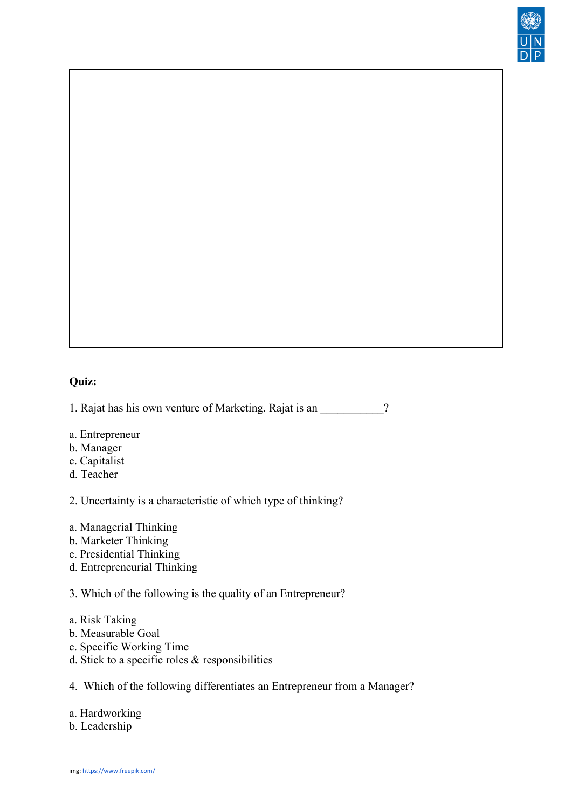

# **Quiz:**

1. Rajat has his own venture of Marketing. Rajat is an 2

- a. Entrepreneur
- b. Manager
- c. Capitalist
- d. Teacher

2. Uncertainty is a characteristic of which type of thinking?

- a. Managerial Thinking
- b. Marketer Thinking
- c. Presidential Thinking
- d. Entrepreneurial Thinking

3. Which of the following is the quality of an Entrepreneur?

- a. Risk Taking
- b. Measurable Goal
- c. Specific Working Time
- d. Stick to a specific roles & responsibilities
- 4. Which of the following differentiates an Entrepreneur from a Manager?

a. Hardworking

b. Leadership